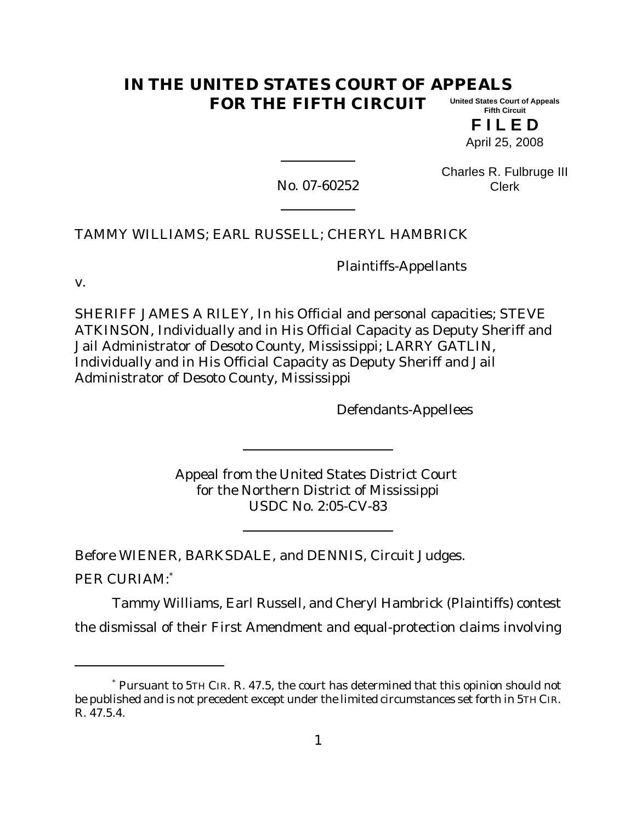#### **IN THE UNITED STATES COURT OF APPEALS FOR THE FIFTH CIRCUIT United States Court of Appeals Fifth Circuit**

**F I L E D** April 25, 2008

No. 07-60252

Charles R. Fulbruge III Clerk

TAMMY WILLIAMS; EARL RUSSELL; CHERYL HAMBRICK

Plaintiffs-Appellants

v.

SHERIFF JAMES A RILEY, In his Official and personal capacities; STEVE ATKINSON, Individually and in His Official Capacity as Deputy Sheriff and Jail Administrator of Desoto County, Mississippi; LARRY GATLIN, Individually and in His Official Capacity as Deputy Sheriff and Jail Administrator of Desoto County, Mississippi

Defendants-Appellees

Appeal from the United States District Court for the Northern District of Mississippi USDC No. 2:05-CV-83

Before WIENER, BARKSDALE, and DENNIS, Circuit Judges.

PER CURIAM:\*

Tammy Williams, Earl Russell, and Cheryl Hambrick (Plaintiffs) contest the dismissal of their First Amendment and equal-protection claims involving

<sup>\*</sup> Pursuant to 5TH CIR. R. 47.5, the court has determined that this opinion should not be published and is not precedent except under the limited circumstances set forth in 5TH CIR. R. 47.5.4.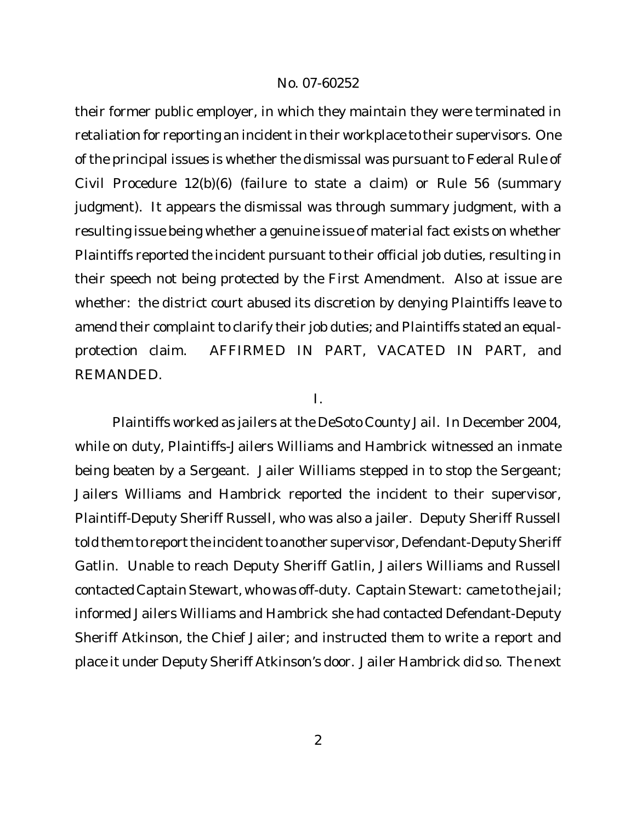their former public employer, in which they maintain they were terminated in retaliation for reporting an incident in their workplace to their supervisors. One of the principal issues is whether the dismissal was pursuant to Federal Rule of Civil Procedure 12(b)(6) (failure to state a claim) or Rule 56 (summary judgment). It appears the dismissal was through summary judgment, with a resulting issue being whether a genuine issue of material fact exists on whether Plaintiffs reported the incident pursuant to their official job duties, resulting in their speech not being protected by the First Amendment. Also at issue are whether: the district court abused its discretion by denying Plaintiffs leave to amend their complaint to clarify their job duties; and Plaintiffs stated an equalprotection claim. AFFIRMED IN PART, VACATED IN PART, and REMANDED.

I.

Plaintiffs worked as jailers at the DeSoto County Jail. In December 2004, while on duty, Plaintiffs-Jailers Williams and Hambrick witnessed an inmate being beaten by a Sergeant. Jailer Williams stepped in to stop the Sergeant; Jailers Williams and Hambrick reported the incident to their supervisor, Plaintiff-Deputy Sheriff Russell, who was also a jailer. Deputy Sheriff Russell told them to report the incident to another supervisor, Defendant-Deputy Sheriff Gatlin. Unable to reach Deputy Sheriff Gatlin, Jailers Williams and Russell contacted Captain Stewart, who was off-duty. Captain Stewart: came to the jail; informed Jailers Williams and Hambrick she had contacted Defendant-Deputy Sheriff Atkinson, the Chief Jailer; and instructed them to write a report and place it under Deputy Sheriff Atkinson's door. Jailer Hambrick did so. The next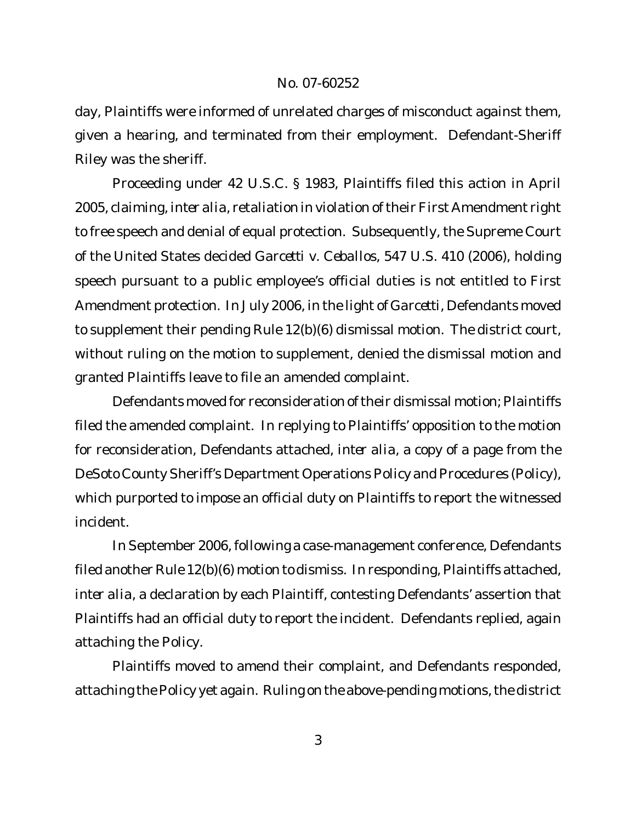day, Plaintiffs were informed of unrelated charges of misconduct against them, given a hearing, and terminated from their employment. Defendant-Sheriff Riley was the sheriff.

Proceeding under 42 U.S.C. § 1983, Plaintiffs filed this action in April 2005, claiming,*inter alia*, retaliation in violation oftheir First Amendment right to free speech and denial of equal protection. Subsequently, the Supreme Court of the United States decided *Garcetti v. Ceballos*, 547 U.S. 410 (2006), holding speech pursuant to a public employee's official duties is *not* entitled to First Amendment protection. In July 2006, in the light of *Garcetti*, Defendants moved to supplement their pending Rule 12(b)(6) dismissal motion. The district court, without ruling on the motion to supplement, denied the dismissal motion and granted Plaintiffs leave to file an amended complaint.

Defendants moved for reconsideration of their dismissal motion; Plaintiffs filed the amended complaint. In replying to Plaintiffs' opposition to the motion for reconsideration, Defendants attached, *inter alia*, a copy of a page from the DeSoto County Sheriff's Department Operations Policy and Procedures (Policy), which purported to impose an official duty on Plaintiffs to report the witnessed incident.

In September 2006, following a case-management conference, Defendants filed another Rule 12(b)(6) motion to dismiss. In responding, Plaintiffs attached, *inter alia*, a declaration by each Plaintiff, contesting Defendants' assertion that Plaintiffs had an official duty to report the incident. Defendants replied, again attaching the Policy.

Plaintiffs moved to amend their complaint, and Defendants responded, attaching the Policy yet again. Ruling on the above-pending motions, the district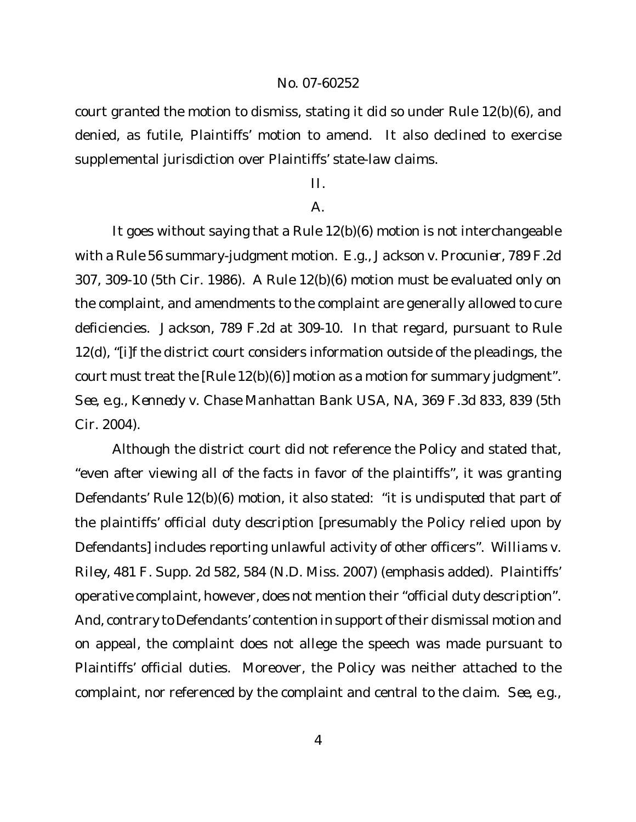court granted the motion to dismiss, stating it did so under Rule 12(b)(6), and denied, as futile, Plaintiffs' motion to amend. It also declined to exercise supplemental jurisdiction over Plaintiffs' state-law claims.

# II.

# $\mathsf{A}$ .

It goes without saying that a Rule 12(b)(6) motion is not interchangeable with a Rule 56 summary-judgment motion. *E.g., Jackson v. Procunier*, 789 F.2d 307, 309-10 (5th Cir. 1986). A Rule 12(b)(6) motion must be evaluated only on the complaint, and amendments to the complaint are generally allowed to cure deficiencies. *Jackson*, 789 F.2d at 309-10. In that regard, pursuant to Rule 12(d), "[i]f the district court considers information outside of the pleadings, the court must treat the [Rule 12(b)(6)] motion as a motion for summary judgment". *See, e.g., Kennedy v. Chase Manhattan Bank USA, NA*, 369 F.3d 833, 839 (5th Cir. 2004).

Although the district court did *not* reference the Policy and stated that, "even after viewing all of the facts in favor of the plaintiffs", it was granting Defendants' Rule 12(b)(6) motion, it also stated: "it is *undisputed* that part of the plaintiffs' *official duty description* [presumably the Policy relied upon by Defendants] includes reporting unlawful activity of other officers". *Williams v. Riley*, 481 F. Supp. 2d 582, 584 (N.D. Miss. 2007) (emphasis added). Plaintiffs' operative complaint, however, does not mention their "official duty description". And, contrary to Defendants' contention in support of their dismissal motion and on appeal, the complaint does not allege the speech was made pursuant to Plaintiffs' official duties. Moreover, the Policy was neither attached to the complaint, nor referenced by the complaint and central to the claim. *See, e.g.*,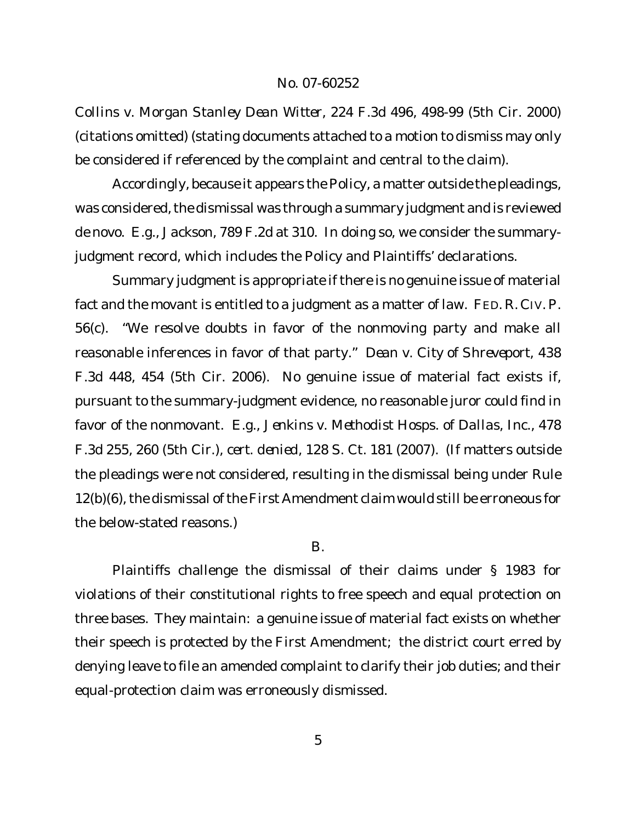*Collins v. Morgan Stanley Dean Witter*, 224 F.3d 496, 498-99 (5th Cir. 2000) (citations omitted) (stating documents attached to a motion to dismiss may only be considered if referenced by the complaint and central to the claim).

Accordingly, because it appears the Policy, a matter outside the pleadings, was considered, the dismissal was through a summary judgment and is reviewed *de novo. E.g.*, *Jackson*, 789 F.2d at 310. In doing so, we consider the summaryjudgment record, which includes the Policy and Plaintiffs' declarations.

Summary judgment is appropriate if there is no genuine issue of material fact and the movant is entitled to a judgment as a matter of law. FED. R. CIV.P. 56(c). "We resolve doubts in favor of the nonmoving party and make all reasonable inferences in favor of that party." *Dean v. City of Shreveport*, 438 F.3d 448, 454 (5th Cir. 2006). No genuine issue of material fact exists if, pursuant to the summary-judgment evidence, no reasonable juror could find in favor of the nonmovant. *E.g., Jenkins v. Methodist Hosps. of Dallas, Inc.*, 478 F.3d 255, 260 (5th Cir.), *cert. denied*, 128 S. Ct. 181 (2007). (If matters outside the pleadings were *not* considered, resulting in the dismissal being under Rule 12(b)(6), the dismissal of the First Amendment claim would still be erroneous for the below-stated reasons.)

#### B.

Plaintiffs challenge the dismissal of their claims under § 1983 for violations of their constitutional rights to free speech and equal protection on three bases. They maintain: a genuine issue of material fact exists on whether their speech is protected by the First Amendment; the district court erred by denying leave to file an amended complaint to clarify their job duties; and their equal-protection claim was erroneously dismissed.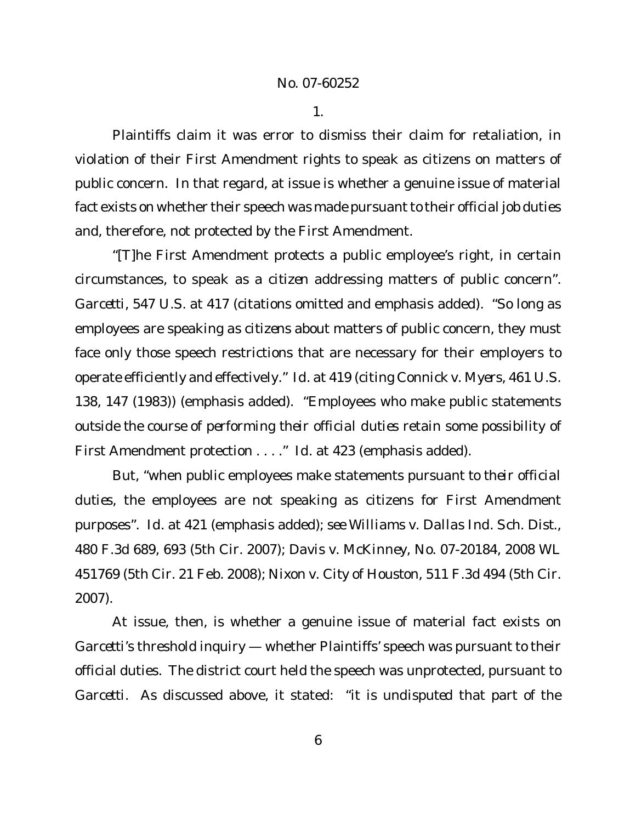1.

Plaintiffs claim it was error to dismiss their claim for retaliation, in violation of their First Amendment rights to speak as citizens on matters of public concern. In that regard, at issue is whether a genuine issue of material fact exists on whether their speech was made pursuant to their official job duties and, therefore, not protected by the First Amendment.

"[T]he First Amendment protects a public employee's right, in certain circumstances, to speak *as a citizen* addressing matters of public concern". *Garcetti*, 547 U.S. at 417 (citations omitted and emphasis added). "So long as employees are speaking *as citizens* about matters of public concern, they must face only those speech restrictions that are necessary for their employers to operate efficiently and effectively." *Id.* at 419 (citing *Connick v. Myers*, 461 U.S. 138, 147 (1983)) (emphasis added). "Employees who make public statements *outside the course of performing their official duties* retain some possibility of First Amendment protection . . . ." *Id.* at 423 (emphasis added).

But, "when public employees make statements *pursuant to their official duties*, the employees are not speaking as citizens for First Amendment purposes". *Id.* at 421 (emphasis added); *see Williams v. Dallas Ind. Sch. Dist.*, 480 F.3d 689, 693 (5th Cir. 2007); *Davis v. McKinney*, No. 07-20184, 2008 WL 451769 (5th Cir. 21 Feb. 2008); *Nixon v. City of Houston*, 511 F.3d 494 (5th Cir. 2007).

At issue, then, is whether a genuine issue of material fact exists on *Garcetti*'s threshold inquiry — whether Plaintiffs' speech was pursuant to their official duties. The district court held the speech was unprotected, pursuant to *Garcetti*. As discussed above, it stated: "it is *undisputed* that part of the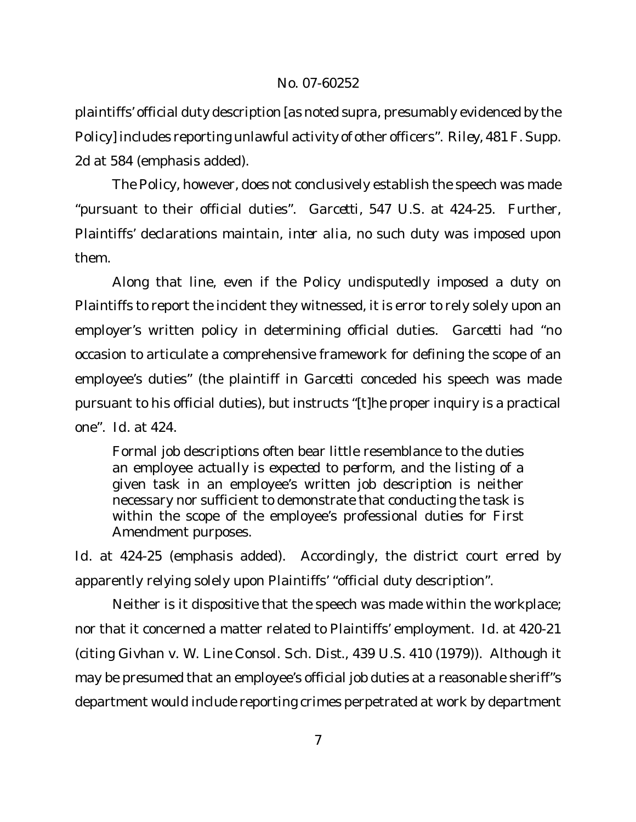plaintiffs' official duty description [as noted *supra*, presumably evidenced by the Policy] includes reporting unlawful activity of other officers". *Riley*, 481F. Supp. 2d at 584 (emphasis added).

The Policy, however, does not conclusively establish the speech was made "pursuant to their official duties". *Garcetti*, 547 U.S. at 424-25. Further, Plaintiffs' declarations maintain, *inter alia*, no such duty was imposed upon them.

Along that line, even if the Policy undisputedly imposed a duty on Plaintiffs to report the incident they witnessed, it is error to rely solely upon an employer's written policy in determining official duties. *Garcetti* had "no occasion to articulate a comprehensive framework for defining the scope of an employee's duties" (the plaintiff in *Garcetti* conceded his speech was made pursuant to his official duties), but instructs "[t]he proper inquiry is a practical one". *Id.* at 424.

Formal job descriptions often bear little resemblance to the duties an employee *actually is expected to perform*, and the listing of a given task in an employee's written job description is neither necessary nor sufficient to demonstrate that conducting the task is within the scope of the employee's professional duties for First Amendment purposes.

*Id.* at 424-25 (emphasis added). Accordingly, the district court erred by apparently relying solely upon Plaintiffs' "official duty description".

Neither is it dispositive that the speech was made within the workplace; nor that it concerned a matter related to Plaintiffs' employment. *Id.* at 420-21 (citing *Givhan v. W. Line Consol. Sch. Dist.*, 439 U.S. 410 (1979)). Although it may be presumed that an employee's official job duties at a reasonable sheriff"s department would include reporting crimes perpetrated at work by department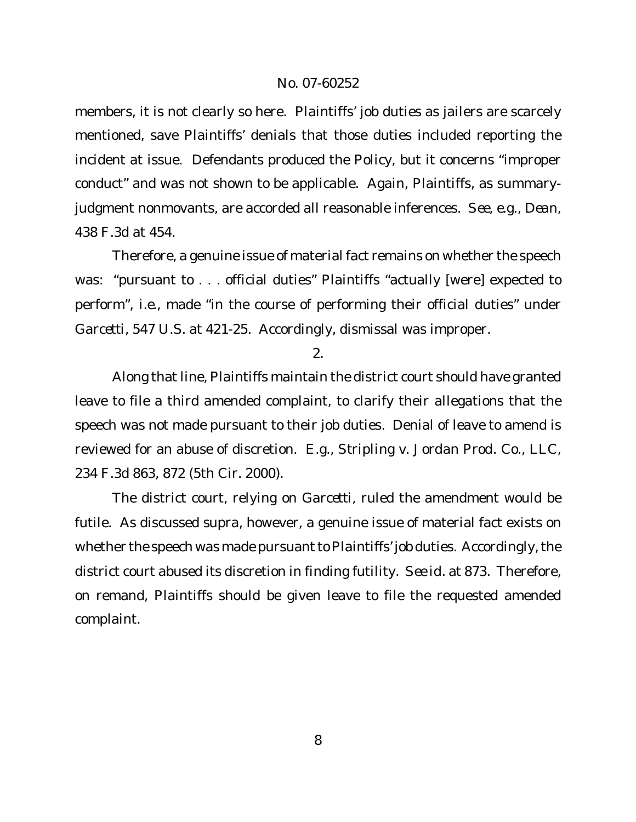members, it is not clearly so here. Plaintiffs' job duties as jailers are scarcely mentioned, save Plaintiffs' denials that those duties included reporting the incident at issue. Defendants produced the Policy, but it concerns "improper conduct" and was not shown to be applicable. Again, Plaintiffs, as summaryjudgment nonmovants, are accorded all reasonable inferences. *See, e.g., Dean*, 438 F.3d at 454.

Therefore, a genuine issue of material fact remains on whether the speech was: "pursuant to . . . official duties" Plaintiffs "actually [were] expected to perform", *i.e.*, made "in the course of performing their official duties" under *Garcetti*, 547 U.S. at 421-25. Accordingly, dismissal was improper.

### 2.

Along that line, Plaintiffs maintain the district court should have granted leave to file a third amended complaint, to clarify their allegations that the speech was not made pursuant to their job duties. Denial of leave to amend is reviewed for an abuse of discretion. *E.g., Stripling v. Jordan Prod. Co., LLC*, 234 F.3d 863, 872 (5th Cir. 2000).

The district court, relying on *Garcetti*, ruled the amendment would be futile. As discussed *supra*, however, a genuine issue of material fact exists on whether the speech was made pursuant to Plaintiffs' job duties. Accordingly, the district court abused its discretion in finding futility. *See id*. at 873. Therefore, on remand, Plaintiffs should be given leave to file the requested amended complaint.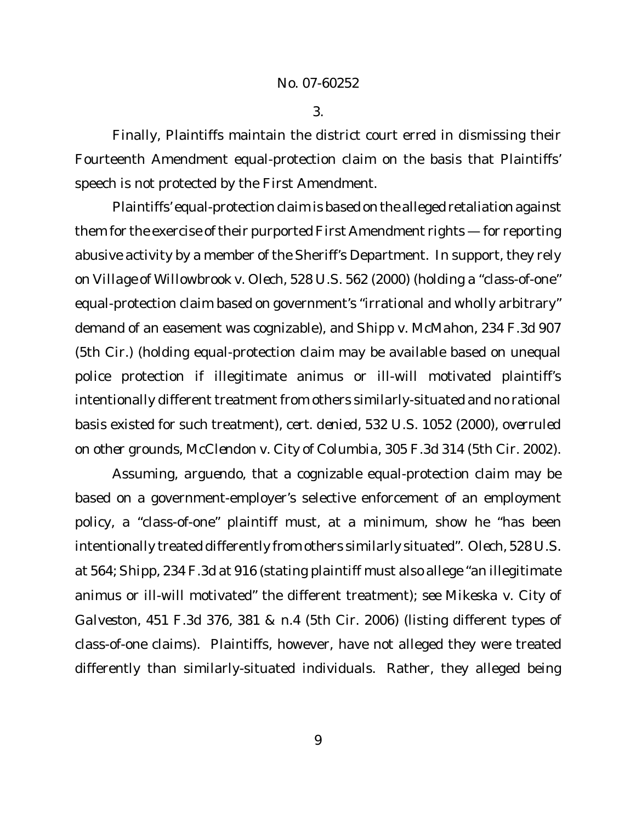3.

Finally, Plaintiffs maintain the district court erred in dismissing their Fourteenth Amendment equal-protection claim on the basis that Plaintiffs' speech is not protected by the First Amendment.

Plaintiffs' equal-protection claim is based on the alleged retaliation against them for the exercise of their purported First Amendment rights — for reporting abusive activity by a member of the Sheriff's Department. In support, they rely on *Village of Willowbrook v. Olech*, 528 U.S. 562 (2000) (holding a "class-of-one" equal-protection claim based on government's "irrational and wholly arbitrary" demand of an easement was cognizable), and *Shipp v. McMahon*, 234 F.3d 907 (5th Cir.) (holding equal-protection claim may be available based on unequal police protection if illegitimate animus or ill-will motivated plaintiff's intentionally different treatment from others similarly-situated and no rational basis existed for such treatment), *cert. denied*, 532 U.S. 1052 (2000), *overruled on other grounds*, *McClendon v. City of Columbia*, 305 F.3d 314 (5th Cir. 2002).

Assuming, *arguendo*, that a cognizable equal-protection claim may be based on a government-employer's selective enforcement of an employment policy, a "class-of-one" plaintiff must, at a minimum, show he "has been intentionally treated differently from others similarly situated". *Olech*, 528 U.S. at 564; *Shipp*, 234 F.3d at 916 (stating plaintiff must also allege "an illegitimate animus or ill-will motivated" the different treatment); *see Mikeska v. City of Galveston*, 451 F.3d 376, 381 & n.4 (5th Cir. 2006) (listing different types of class-of-one claims). Plaintiffs, however, have not alleged they were treated differently than similarly-situated individuals. Rather, they alleged being